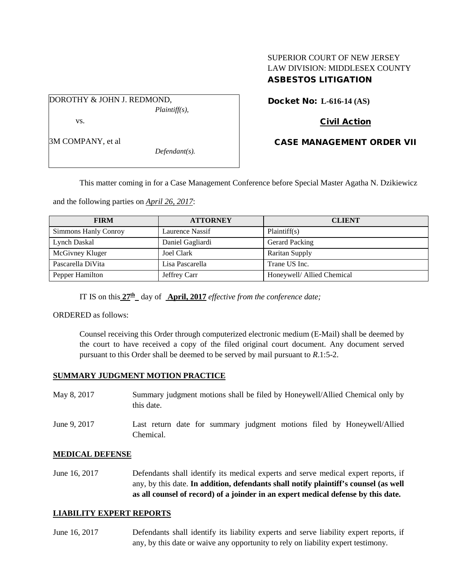## SUPERIOR COURT OF NEW JERSEY LAW DIVISION: MIDDLESEX COUNTY ASBESTOS LITIGATION

DOROTHY & JOHN J. REDMOND,

*Plaintiff(s),*

vs.

3M COMPANY, et al

*Defendant(s).*

Docket No: **L-616-14 (AS)** 

# Civil Action

## CASE MANAGEMENT ORDER VII

This matter coming in for a Case Management Conference before Special Master Agatha N. Dzikiewicz

and the following parties on *April 26, 2017*:

| <b>FIRM</b>          | <b>ATTORNEY</b>  | <b>CLIENT</b>              |
|----------------------|------------------|----------------------------|
| Simmons Hanly Conroy | Laurence Nassif  | Plaintiff(s)               |
| Lynch Daskal         | Daniel Gagliardi | <b>Gerard Packing</b>      |
| McGivney Kluger      | Joel Clark       | <b>Raritan Supply</b>      |
| Pascarella DiVita    | Lisa Pascarella  | Trane US Inc.              |
| Pepper Hamilton      | Jeffrey Carr     | Honeywell/ Allied Chemical |

IT IS on this  $27^{\text{th}}$  day of **April, 2017** *effective from the conference date;* 

ORDERED as follows:

Counsel receiving this Order through computerized electronic medium (E-Mail) shall be deemed by the court to have received a copy of the filed original court document. Any document served pursuant to this Order shall be deemed to be served by mail pursuant to *R*.1:5-2.

## **SUMMARY JUDGMENT MOTION PRACTICE**

| May 8, 2017  | Summary judgment motions shall be filed by Honeywell/Allied Chemical only by<br>this date. |
|--------------|--------------------------------------------------------------------------------------------|
| June 9, 2017 | Last return date for summary judgment motions filed by Honeywell/Allied<br>Chemical.       |

## **MEDICAL DEFENSE**

June 16, 2017 Defendants shall identify its medical experts and serve medical expert reports, if any, by this date. **In addition, defendants shall notify plaintiff's counsel (as well as all counsel of record) of a joinder in an expert medical defense by this date.**

#### **LIABILITY EXPERT REPORTS**

June 16, 2017 Defendants shall identify its liability experts and serve liability expert reports, if any, by this date or waive any opportunity to rely on liability expert testimony.